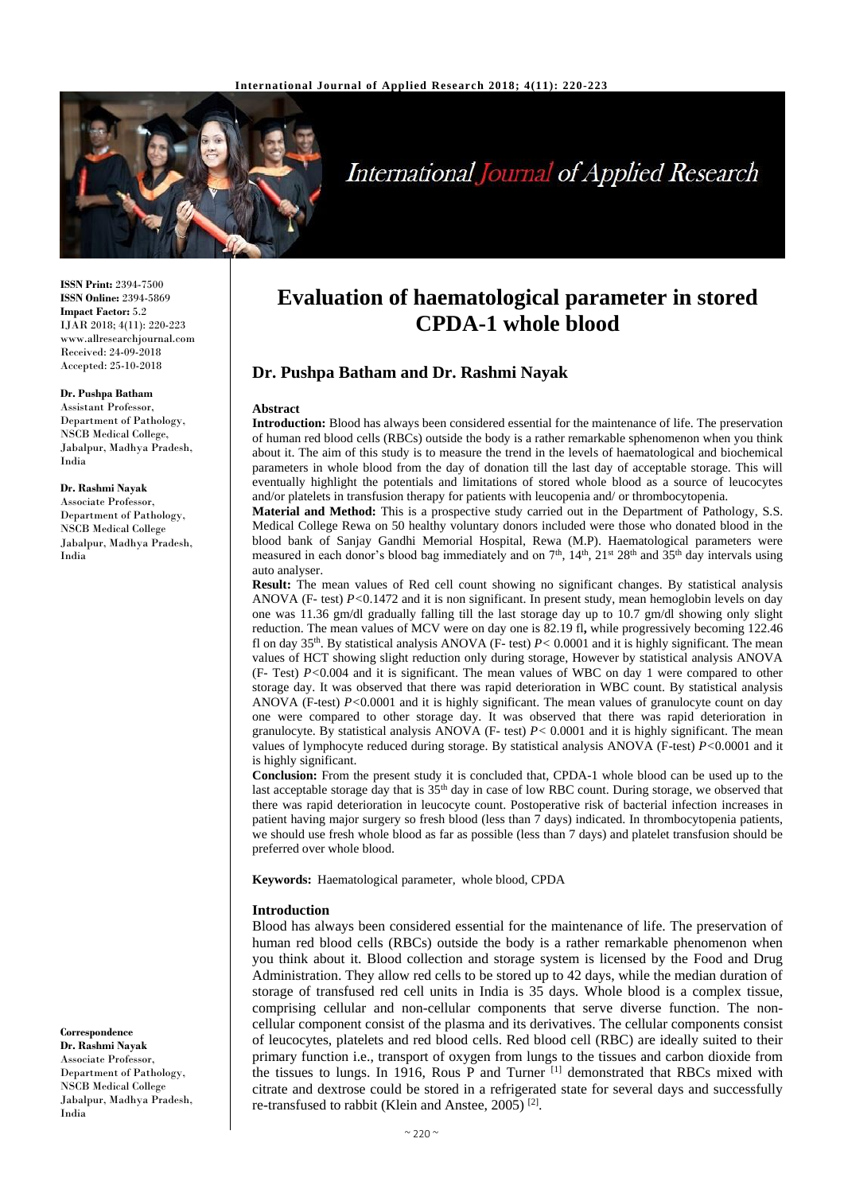

# **International Journal of Applied Research**

**ISSN Print:** 2394-7500 **ISSN Online:** 2394-5869 **Impact Factor:** 5.2 IJAR 2018; 4(11): 220-223 www.allresearchjournal.com Received: 24-09-2018 Accepted: 25-10-2018

#### **Dr. Pushpa Batham**

Assistant Professor, Department of Pathology, NSCB Medical College, Jabalpur, Madhya Pradesh, India

#### **Dr. Rashmi Nayak**

Associate Professor, Department of Pathology, NSCB Medical College Jabalpur, Madhya Pradesh, India

**Correspondence Dr. Rashmi Nayak** Associate Professor, Department of Pathology, NSCB Medical College Jabalpur, Madhya Pradesh, India

# **Evaluation of haematological parameter in stored CPDA-1 whole blood**

# **Dr. Pushpa Batham and Dr. Rashmi Nayak**

#### **Abstract**

**Introduction:** Blood has always been considered essential for the maintenance of life. The preservation of human red blood cells (RBCs) outside the body is a rather remarkable sphenomenon when you think about it. The aim of this study is to measure the trend in the levels of haematological and biochemical parameters in whole blood from the day of donation till the last day of acceptable storage. This will eventually highlight the potentials and limitations of stored whole blood as a source of leucocytes and/or platelets in transfusion therapy for patients with leucopenia and/ or thrombocytopenia.

**Material and Method:** This is a prospective study carried out in the Department of Pathology, S.S. Medical College Rewa on 50 healthy voluntary donors included were those who donated blood in the blood bank of Sanjay Gandhi Memorial Hospital, Rewa (M.P). Haematological parameters were measured in each donor's blood bag immediately and on 7<sup>th</sup>, 14<sup>th</sup>, 21<sup>st</sup> 28<sup>th</sup> and 35<sup>th</sup> day intervals using auto analyser.

**Result:** The mean values of Red cell count showing no significant changes. By statistical analysis ANOVA (F- test) *P<*0.1472 and it is non significant. In present study, mean hemoglobin levels on day one was 11.36 gm/dl gradually falling till the last storage day up to 10.7 gm/dl showing only slight reduction. The mean values of MCV were on day one is 82.19 fl**,** while progressively becoming 122.46 fl on day 35th. By statistical analysis ANOVA (F- test) *P<* 0.0001 and it is highly significant. The mean values of HCT showing slight reduction only during storage, However by statistical analysis ANOVA (F- Test) *P<*0.004 and it is significant. The mean values of WBC on day 1 were compared to other storage day. It was observed that there was rapid deterioration in WBC count. By statistical analysis ANOVA (F-test) *P<*0.0001 and it is highly significant. The mean values of granulocyte count on day one were compared to other storage day. It was observed that there was rapid deterioration in granulocyte. By statistical analysis ANOVA (F- test) *P<* 0.0001 and it is highly significant. The mean values of lymphocyte reduced during storage. By statistical analysis ANOVA (F-test) *P<*0.0001 and it is highly significant.

**Conclusion:** From the present study it is concluded that, CPDA-1 whole blood can be used up to the last acceptable storage day that is 35<sup>th</sup> day in case of low RBC count. During storage, we observed that there was rapid deterioration in leucocyte count. Postoperative risk of bacterial infection increases in patient having major surgery so fresh blood (less than 7 days) indicated. In thrombocytopenia patients, we should use fresh whole blood as far as possible (less than 7 days) and platelet transfusion should be preferred over whole blood.

**Keywords:** Haematological parameter, whole blood, CPDA

#### **Introduction**

Blood has always been considered essential for the maintenance of life. The preservation of human red blood cells (RBCs) outside the body is a rather remarkable phenomenon when you think about it. Blood collection and storage system is licensed by the Food and Drug Administration. They allow red cells to be stored up to 42 days, while the median duration of storage of transfused red cell units in India is 35 days. Whole blood is a complex tissue, comprising cellular and non-cellular components that serve diverse function. The noncellular component consist of the plasma and its derivatives. The cellular components consist of leucocytes, platelets and red blood cells. Red blood cell (RBC) are ideally suited to their primary function i.e., transport of oxygen from lungs to the tissues and carbon dioxide from the tissues to lungs. In 1916, Rous P and Turner [1] demonstrated that RBCs mixed with citrate and dextrose could be stored in a refrigerated state for several days and successfully re-transfused to rabbit (Klein and Anstee, 2005)<sup>[2]</sup>.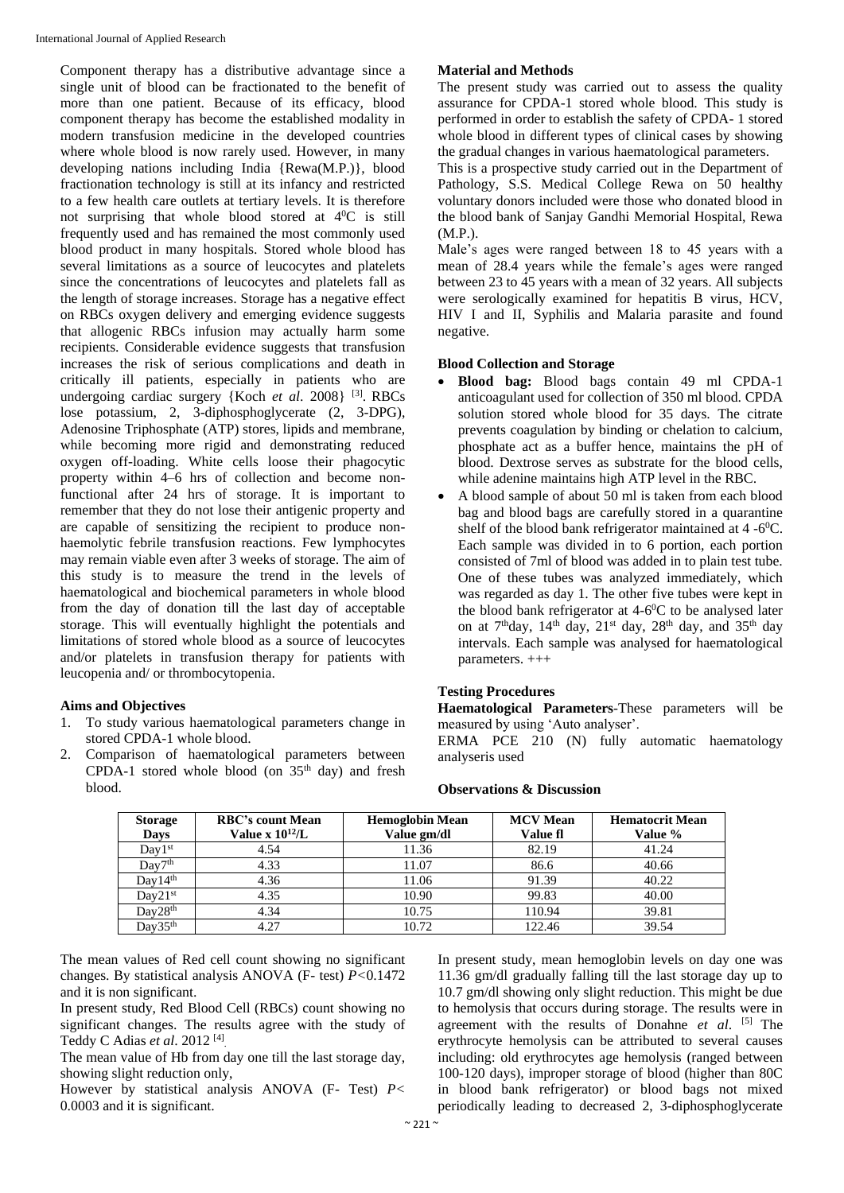Component therapy has a distributive advantage since a single unit of blood can be fractionated to the benefit of more than one patient. Because of its efficacy, blood component therapy has become the established modality in modern transfusion medicine in the developed countries where whole blood is now rarely used. However, in many developing nations including India {Rewa(M.P.)}, blood fractionation technology is still at its infancy and restricted to a few health care outlets at tertiary levels. It is therefore not surprising that whole blood stored at  $4^{\circ}$ C is still frequently used and has remained the most commonly used blood product in many hospitals. Stored whole blood has several limitations as a source of leucocytes and platelets since the concentrations of leucocytes and platelets fall as the length of storage increases. Storage has a negative effect on RBCs oxygen delivery and emerging evidence suggests that allogenic RBCs infusion may actually harm some recipients. Considerable evidence suggests that transfusion increases the risk of serious complications and death in critically ill patients, especially in patients who are undergoing cardiac surgery {Koch *et al*. 2008} [3] . RBCs lose potassium, 2, 3-diphosphoglycerate (2, 3-DPG), Adenosine Triphosphate (ATP) stores, lipids and membrane, while becoming more rigid and demonstrating reduced oxygen off-loading. White cells loose their phagocytic property within 4–6 hrs of collection and become nonfunctional after 24 hrs of storage. It is important to remember that they do not lose their antigenic property and are capable of sensitizing the recipient to produce nonhaemolytic febrile transfusion reactions. Few lymphocytes may remain viable even after 3 weeks of storage. The aim of this study is to measure the trend in the levels of haematological and biochemical parameters in whole blood from the day of donation till the last day of acceptable storage. This will eventually highlight the potentials and limitations of stored whole blood as a source of leucocytes and/or platelets in transfusion therapy for patients with leucopenia and/ or thrombocytopenia.

# **Aims and Objectives**

- 1. To study various haematological parameters change in stored CPDA-1 whole blood.
- 2. Comparison of haematological parameters between CPDA-1 stored whole blood (on  $35<sup>th</sup>$  day) and fresh blood.

## **Material and Methods**

The present study was carried out to assess the quality assurance for CPDA-1 stored whole blood. This study is performed in order to establish the safety of CPDA- 1 stored whole blood in different types of clinical cases by showing the gradual changes in various haematological parameters.

This is a prospective study carried out in the Department of Pathology, S.S. Medical College Rewa on 50 healthy voluntary donors included were those who donated blood in the blood bank of Sanjay Gandhi Memorial Hospital, Rewa (M.P.).

Male's ages were ranged between 18 to 45 years with a mean of 28.4 years while the female's ages were ranged between 23 to 45 years with a mean of 32 years. All subjects were serologically examined for hepatitis B virus, HCV, HIV I and II, Syphilis and Malaria parasite and found negative.

## **Blood Collection and Storage**

- **Blood bag:** Blood bags contain 49 ml CPDA-1 anticoagulant used for collection of 350 ml blood. CPDA solution stored whole blood for 35 days. The citrate prevents coagulation by binding or chelation to calcium, phosphate act as a buffer hence, maintains the pH of blood. Dextrose serves as substrate for the blood cells, while adenine maintains high ATP level in the RBC.
- A blood sample of about 50 ml is taken from each blood bag and blood bags are carefully stored in a quarantine shelf of the blood bank refrigerator maintained at  $4 - 6^{\circ}$ C. Each sample was divided in to 6 portion, each portion consisted of 7ml of blood was added in to plain test tube. One of these tubes was analyzed immediately, which was regarded as day 1. The other five tubes were kept in the blood bank refrigerator at 4-6 <sup>0</sup>C to be analysed later on at 7<sup>th</sup>day, 14<sup>th</sup> day, 21<sup>st</sup> day, 28<sup>th</sup> day, and 35<sup>th</sup> day intervals. Each sample was analysed for haematological parameters. +++

### **Testing Procedures**

**Haematological Parameters**-These parameters will be measured by using 'Auto analyser'.

ERMA PCE 210 (N) fully automatic haematology analyseris used

| <b>Storage</b><br><b>Days</b> | <b>RBC's count Mean</b><br>Value x $10^{12}/L$ | <b>Hemoglobin Mean</b><br>Value gm/dl | <b>MCV</b> Mean<br>Value fl | <b>Hematocrit Mean</b><br>Value % |
|-------------------------------|------------------------------------------------|---------------------------------------|-----------------------------|-----------------------------------|
| $Day1^{st}$                   | 4.54                                           | 11.36                                 | 82.19                       | 41.24                             |
| Day7 <sup>th</sup>            | 4.33                                           | 11.07                                 | 86.6                        | 40.66                             |
| Day14 <sup>th</sup>           | 4.36                                           | 11.06                                 | 91.39                       | 40.22                             |
| $Dav21^{st}$                  | 4.35                                           | 10.90                                 | 99.83                       | 40.00                             |
| Day28 <sup>th</sup>           | 4.34                                           | 10.75                                 | 110.94                      | 39.81                             |
| Dav35 <sup>th</sup>           | 4.27                                           | 10.72                                 | 122.46                      | 39.54                             |

#### **Observations & Discussion**

The mean values of Red cell count showing no significant changes. By statistical analysis ANOVA (F- test) *P<*0.1472 and it is non significant.

In present study, Red Blood Cell (RBCs) count showing no significant changes. The results agree with the study of Teddy C Adias *et al*. 2012 [4] .

The mean value of Hb from day one till the last storage day, showing slight reduction only,

However by statistical analysis ANOVA (F- Test) *P<* 0.0003 and it is significant.

In present study, mean hemoglobin levels on day one was 11.36 gm/dl gradually falling till the last storage day up to 10.7 gm/dl showing only slight reduction. This might be due to hemolysis that occurs during storage. The results were in agreement with the results of Donahne *et al*. [5] The erythrocyte hemolysis can be attributed to several causes including: old erythrocytes age hemolysis (ranged between 100-120 days), improper storage of blood (higher than 80C in blood bank refrigerator) or blood bags not mixed periodically leading to decreased 2, 3-diphosphoglycerate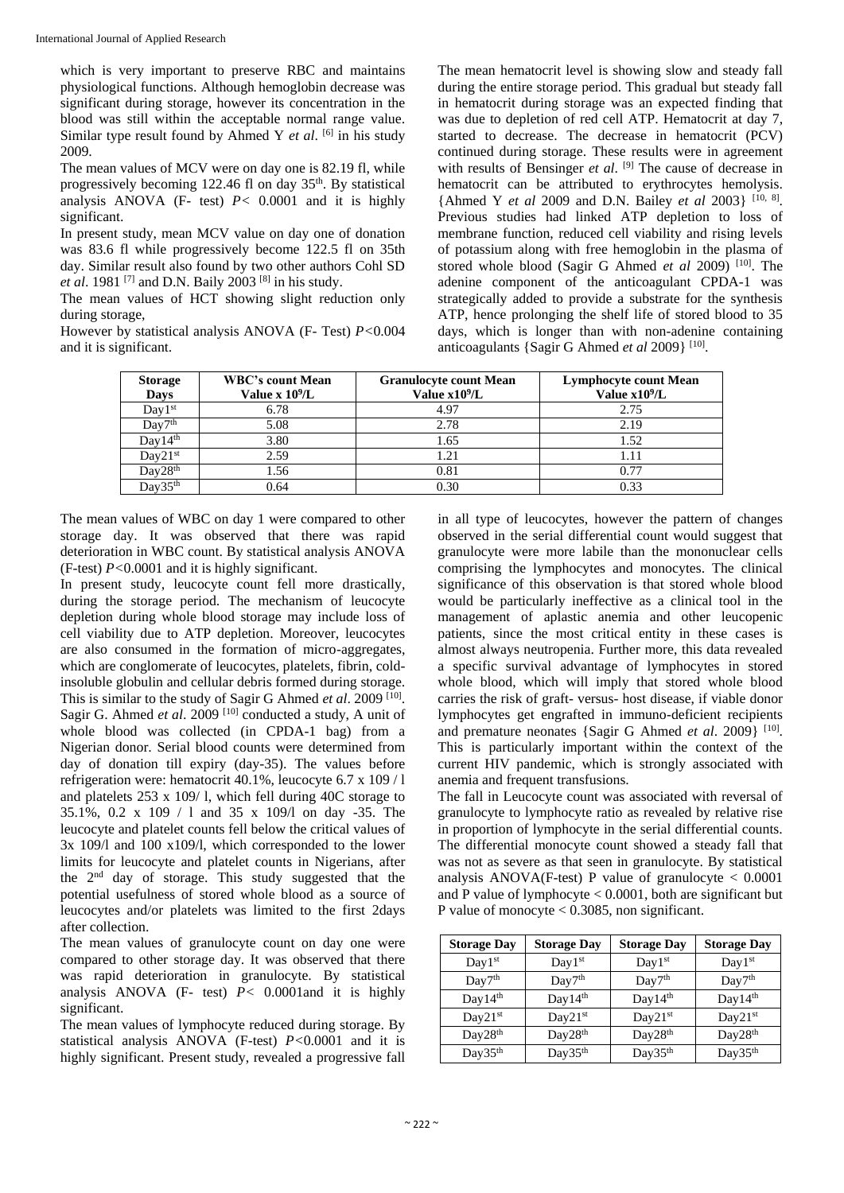which is very important to preserve RBC and maintains physiological functions. Although hemoglobin decrease was significant during storage, however its concentration in the blood was still within the acceptable normal range value. Similar type result found by Ahmed Y *et al*. <sup>[6]</sup> in his study 2009.

The mean values of MCV were on day one is 82.19 fl, while progressively becoming 122.46 fl on day  $35<sup>th</sup>$ . By statistical analysis ANOVA (F- test) *P<* 0.0001 and it is highly significant.

In present study, mean MCV value on day one of donation was 83.6 fl while progressively become 122.5 fl on 35th day. Similar result also found by two other authors Cohl SD et al. 1981<sup>[7]</sup> and D.N. Baily 2003<sup>[8]</sup> in his study.

The mean values of HCT showing slight reduction only during storage,

However by statistical analysis ANOVA (F- Test) *P<*0.004 and it is significant.

The mean hematocrit level is showing slow and steady fall during the entire storage period. This gradual but steady fall in hematocrit during storage was an expected finding that was due to depletion of red cell ATP. Hematocrit at day 7, started to decrease. The decrease in hematocrit (PCV) continued during storage. These results were in agreement with results of Bensinger *et al.* <sup>[9]</sup> The cause of decrease in hematocrit can be attributed to erythrocytes hemolysis. {Ahmed Y *et al* 2009 and D.N. Bailey *et al* 2003} [10, 8] . Previous studies had linked ATP depletion to loss of membrane function, reduced cell viability and rising levels of potassium along with free hemoglobin in the plasma of stored whole blood (Sagir G Ahmed et al 2009)<sup>[10]</sup>. The adenine component of the anticoagulant CPDA-1 was strategically added to provide a substrate for the synthesis ATP, hence prolonging the shelf life of stored blood to 35 days, which is longer than with non-adenine containing anticoagulants {Sagir G Ahmed et al 2009}<sup>[10]</sup>.

| <b>Storage</b><br><b>Days</b> | <b>WBC's count Mean</b><br>Value x $10^9$ /L | <b>Granulocyte count Mean</b><br>Value $x10^9/L$ | <b>Lymphocyte count Mean</b><br>Value $x10^9/L$ |
|-------------------------------|----------------------------------------------|--------------------------------------------------|-------------------------------------------------|
| Day1st                        | 6.78                                         | 4.97                                             | 2.75                                            |
| Day7 <sup>th</sup>            | 5.08                                         | 2.78                                             | 2.19                                            |
| Day14 <sup>th</sup>           | 3.80                                         | 1.65                                             | 1.52                                            |
| Day21 <sup>st</sup>           | 2.59                                         | 1.21                                             | 1.11                                            |
| Day28 <sup>th</sup>           | 1.56                                         | 0.81                                             | 0.77                                            |
| Day35 <sup>th</sup>           | 0.64                                         | 0.30                                             | 0.33                                            |

The mean values of WBC on day 1 were compared to other storage day. It was observed that there was rapid deterioration in WBC count. By statistical analysis ANOVA (F-test) *P<*0.0001 and it is highly significant.

In present study, leucocyte count fell more drastically, during the storage period. The mechanism of leucocyte depletion during whole blood storage may include loss of cell viability due to ATP depletion. Moreover, leucocytes are also consumed in the formation of micro-aggregates, which are conglomerate of leucocytes, platelets, fibrin, coldinsoluble globulin and cellular debris formed during storage. This is similar to the study of Sagir G Ahmed *et al.* 2009<sup>[10]</sup>. Sagir G. Ahmed et al. 2009<sup>[10]</sup> conducted a study, A unit of whole blood was collected (in CPDA-1 bag) from a Nigerian donor. Serial blood counts were determined from day of donation till expiry (day-35). The values before refrigeration were: hematocrit 40.1%, leucocyte 6.7 x 109 / l and platelets 253 x 109/ l, which fell during 40C storage to 35.1%, 0.2 x 109 / l and 35 x 109/l on day -35. The leucocyte and platelet counts fell below the critical values of 3x 109/l and 100 x109/l, which corresponded to the lower limits for leucocyte and platelet counts in Nigerians, after the 2nd day of storage. This study suggested that the potential usefulness of stored whole blood as a source of leucocytes and/or platelets was limited to the first 2days after collection.

The mean values of granulocyte count on day one were compared to other storage day. It was observed that there was rapid deterioration in granulocyte. By statistical analysis ANOVA (F- test)  $\overrightarrow{P}$  < 0.0001 and it is highly significant.

The mean values of lymphocyte reduced during storage. By statistical analysis ANOVA (F-test) *P<*0.0001 and it is highly significant. Present study, revealed a progressive fall in all type of leucocytes, however the pattern of changes observed in the serial differential count would suggest that granulocyte were more labile than the mononuclear cells comprising the lymphocytes and monocytes. The clinical significance of this observation is that stored whole blood would be particularly ineffective as a clinical tool in the management of aplastic anemia and other leucopenic patients, since the most critical entity in these cases is almost always neutropenia. Further more, this data revealed a specific survival advantage of lymphocytes in stored whole blood, which will imply that stored whole blood carries the risk of graft- versus- host disease, if viable donor lymphocytes get engrafted in immuno-deficient recipients and premature neonates {Sagir G Ahmed et al. 2009}<sup>[10]</sup>. This is particularly important within the context of the current HIV pandemic, which is strongly associated with anemia and frequent transfusions.

The fall in Leucocyte count was associated with reversal of granulocyte to lymphocyte ratio as revealed by relative rise in proportion of lymphocyte in the serial differential counts. The differential monocyte count showed a steady fall that was not as severe as that seen in granulocyte. By statistical analysis ANOVA(F-test) P value of granulocyte  $< 0.0001$ and P value of lymphocyte  $< 0.0001$ , both are significant but P value of monocyte < 0.3085, non significant.

| <b>Storage Day</b>  | <b>Storage Day</b>  | <b>Storage Day</b>  | <b>Storage Day</b>  |
|---------------------|---------------------|---------------------|---------------------|
| $Day1^{st}$         | $Day1^{st}$         | $Day1^{st}$         | $Day1^{st}$         |
| Day7 <sup>th</sup>  | Day7 <sup>th</sup>  | Day7 <sup>th</sup>  | Day7 <sup>th</sup>  |
| Day $14th$          | Day14 <sup>th</sup> | Day $14th$          | Day14 <sup>th</sup> |
| Day21 <sup>st</sup> | Day21 <sup>st</sup> | Day $21st$          | Day21st             |
| Day28 <sup>th</sup> | Day28 <sup>th</sup> | Day28 <sup>th</sup> | Day28 <sup>th</sup> |
| Day35 <sup>th</sup> | Day $35th$          | Day35 <sup>th</sup> | Day35 <sup>th</sup> |